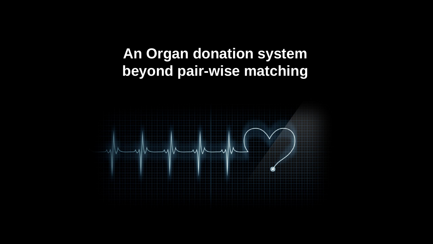## **An Organ donation system beyond pair-wise matching**

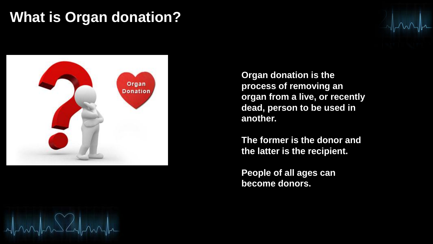### **What is Organ donation?**



**Organ donation is the process of removing an organ from a live, or recently dead, person to be used in another.** 

**The former is the donor and the latter is the recipient.** 

**People of all ages can become donors.**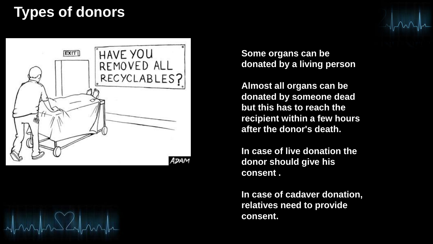## **Types of donors**



**Some organs can be donated by a living person** 

**Almost all organs can be donated by someone dead but this has to reach the recipient within a few hours after the donor's death.** 

**In case of live donation the donor should give his consent .** 

**In case of cadaver donation, relatives need to provide consent.**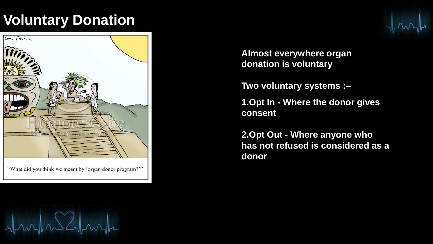## **Voluntary Donation**



"What did you think we meant by 'organ donor program?"

**Almost everywhere organ donation is voluntary** 

**Two voluntary systems :–**

**1.Opt In - Where the donor gives consent** 

**2.Opt Out - Where anyone who has not refused is considered as a donor**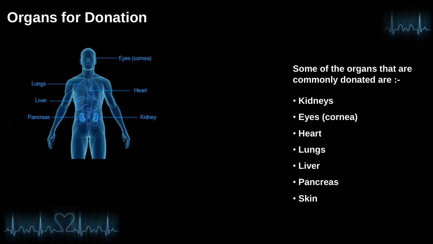# **Organs for Donation**



**Some of the organs that are commonly donated are :-**

- **Kidneys**
- **Eyes (cornea)**
- **Heart**
- **Lungs**
- **Liver**
- **Pancreas**
- **Skin**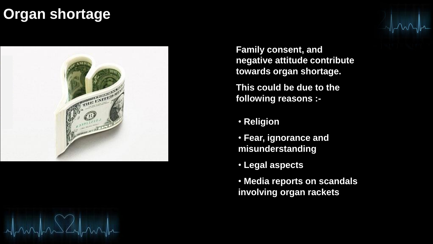### **Organ shortage**



**Family consent, and negative attitude contribute towards organ shortage.**

**This could be due to the following reasons :-**

- **Religion**
- **Fear, ignorance and misunderstanding**
- **Legal aspects**
- **Media reports on scandals involving organ rackets**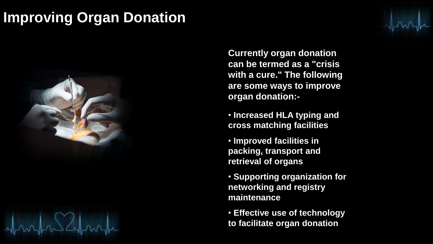### **Improving Organ Donation**



**Currently organ donation can be termed as a "crisis with a cure." The following are some ways to improve organ donation:-**

- **Increased HLA typing and cross matching facilities**
- **Improved facilities in packing, transport and retrieval of organs**
- **Supporting organization for networking and registry maintenance**

• **Effective use of technology to facilitate organ donation**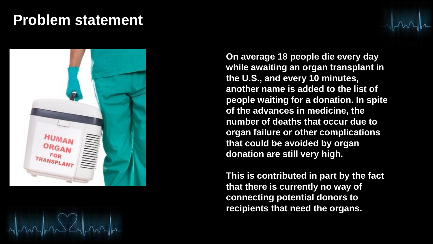#### **Problem statement**



**On average 18 people die every day while awaiting an organ transplant in the U.S., and every 10 minutes, another name is added to the list of people waiting for a donation. In spite of the advances in medicine, the number of deaths that occur due to organ failure or other complications that could be avoided by organ donation are still very high.**

**This is contributed in part by the fact that there is currently no way of connecting potential donors to recipients that need the organs.**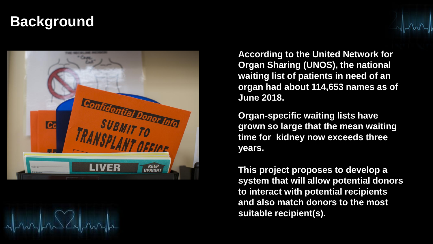## **Background**



**According to the United Network for Organ Sharing (UNOS), the national waiting list of patients in need of an organ had about 114,653 names as of June 2018.**

**Organ-specific waiting lists have grown so large that the mean waiting time for kidney now exceeds three years.**

**This project proposes to develop a system that will allow potential donors to interact with potential recipients and also match donors to the most suitable recipient(s).**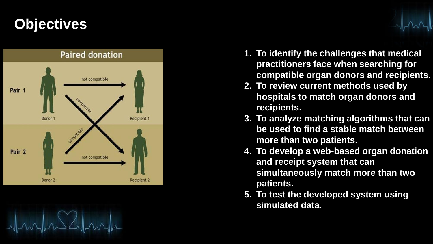# **Objectives**



$$
\mathcal{A}_{\text{max}}\sim\mathcal{A}_{\text{max}}\sim\mathcal{A}_{\text{max}}
$$

- **1. To identify the challenges that medical practitioners face when searching for compatible organ donors and recipients.**
- **2. To review current methods used by hospitals to match organ donors and recipients.**
- **3. To analyze matching algorithms that can be used to find a stable match between more than two patients.**
- **4. To develop a web -based organ donation and receipt system that can simultaneously match more than two patients.**
- **5. To test the developed system using simulated data.**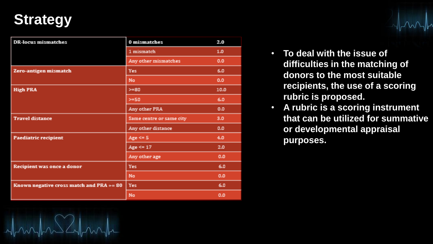## **Strategy**

| <b>DR-locus mismatches</b>                   | 0 mismatches             | 2,00 |
|----------------------------------------------|--------------------------|------|
|                                              | 1 mismatch               | 1.0  |
|                                              | Any other mismatches     | 0.0  |
| Zero-antigen mismatch                        | Yes                      | 6.0  |
|                                              | No.                      | 0.0  |
| <b>High PRA</b>                              | $>=80$                   | 10.0 |
|                                              | $>=50$                   | 6.0  |
|                                              | Any other PRA            | 0,0  |
| <b>Travel distance</b>                       | Same centre or same city | 3,0  |
|                                              | Any other distance       | 0.0  |
| Paediatric recipient                         | Age $\leq$ 5             | 4.0  |
|                                              | Age $\leq$ 17            | 2.0  |
|                                              | Any other age            | 0.0  |
| Recipient was once a donor                   | Yes:                     | 6.0  |
|                                              | No.                      | 0.0  |
| Known negative cross match and $PRA \geq 80$ | <b>Yes</b>               | 6.0  |
|                                              | No                       | 0.0  |

- **To deal with the issue of difficulties in the matching of donors to the most suitable recipients, the use of a scoring rubric is proposed.**
- **A rubric is a scoring instrument that can be utilized for summative or developmental appraisal purposes.**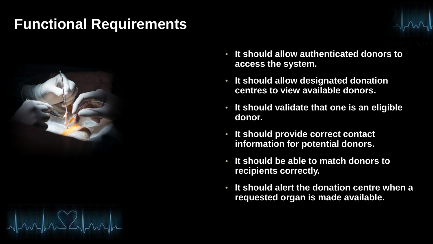## **Functional Requirements**



- **It should allow authenticated donors to access the system.**
- **It should allow designated donation centres to view available donors.**
- **It should validate that one is an eligible donor.**
- **It should provide correct contact information for potential donors.**
- **It should be able to match donors to recipients correctly.**
- **It should alert the donation centre when a requested organ is made available.**